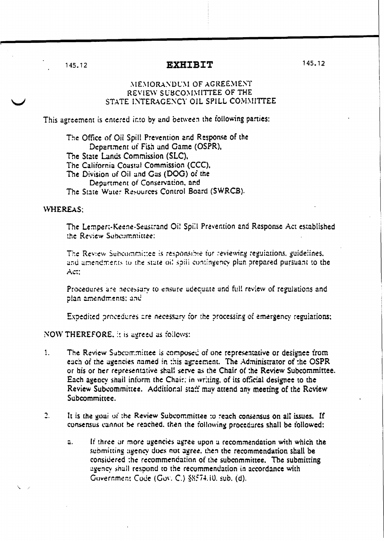## **EXHIBIT**

145.12

## MEMORANDUM OF AGREEMENT REVIEW SUBCOMMITTEE OF THE STATE INTERAGENCY OIL SPILL COMMITTEE

This agreement is entered into by and between the following parties:

The Office of Oil Spill Prevention and Response of the Department of Fish and Game (OSPR), The State Lands Commission (SLC), The California Coastal Commission (CCC), The Division of Oil and Gas (DOG) of the Department of Conservation, and The State Water Resources Control Board (SWRCB).

## **WHEREAS:**

The Lempert-Keene-Seastrand Oi! Spill Prevention and Response Act established the Review Subcommittee:

The Review Subcommittee is responsible for reviewing regulations, guidelines, and amendments to the state oil spill contingency plan prepared pursuant to the Act:

Procedures are necessary to ensure adequate and full review of regulations and plan amendments; and

Expedited procedures are necessary for the processing of emergency regulations;

NOW THEREFORE, it is agreed as follows:

- $1<sub>1</sub>$ The Review Subcommittee is composed of one representative or designee from each of the agencies named in this agreement. The Administrator of the OSPR or his or her representative shall serve as the Chair of the Review Subcommittee. Each agency shall inform the Chair; in writing, of its official designee to the Review Subcommittee. Additional staff may attend any meeting of the Review Subcommittee.
- $\overline{2}$ . It is the goal of the Review Subcommittee to reach consensus on all issues. If consensus cannot be reached, then the following procedures shall be followed:
	- If three or more agencies agree upon a recommendation with which the  $a.$ submitting agency does not agree, then the recommendation shall be considered the recommendation of the subcommittee. The submitting agency shall respond to the recommendation in accordance with Government Code (Gov. C.) §8574.10. sub. (d).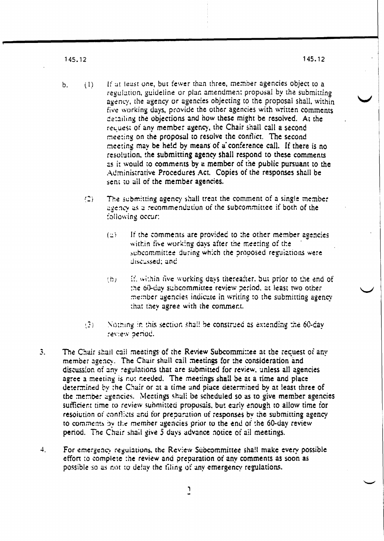145.12

- If at least one, but fewer than three, member agencies object to a  $(1)$  $b<sub>1</sub>$ regulation, guideline or plan amendment proposal by the submitting agency, the agency or agencies objecting to the proposal shall, within five working days, provide the other agencies with written comments detailing the objections and how these might be resolved. At the request of any member agency, the Chair shall call a second meeting on the proposal to resolve the conflict. The second meeting may be held by means of a conference call. If there is no resolution, the submitting agency shall respond to these comments as it would to comments by a member of the public pursuant to the Administrative Procedures Act. Copies of the responses shall be sent to all of the member agencies.
	- The submitting agency shall treat the comment of a single member  $(2)$ agency as a recommendation of the subcommittee if both of the following occur:
		- $(2)$ If the comments are provided to the other member agencies within five working days after the meeting of the subcommittee during which the proposed regulations were discussed; and
		- if, within five working days thereafter, but prior to the end of  $(b)$ the 60-day subcommittee review period, at least two other member agencies indicate in writing to the submitting agency. that they agree with the comment.
	- $\binom{2}{2}$ Nothing in this section shall be construed as extending the 60-day review befied.
- $\mathbf{3}$ . The Chair shall call meetings of the Review Subcommittee at the recuest of any member agency. The Chair shall call meetings for the consideration and discussion of any regulations that are submitted for review, unless all agencies agree a meeting is not needed. The meetings shall be at a time and place determined by the Chair or at a time and place determined by at least three of the member agencies. Meetings shall be scheduled so as to give member agencies sufficient time to review submitted proposals, but early enough to allow time for resolution of conflicts and for preparation of responses by the submitting agency to comments by the member agencies prior to the end of the 60-day review. period. The Chair shall give 5 days advance notice of all meetings.
- $\ddot{+}$ . For emergency regulations, the Review Subcommittee shall make every possible effort to complete the review and preparation of any comments as soon as possible so as not to delay the filing of any emergency regulations.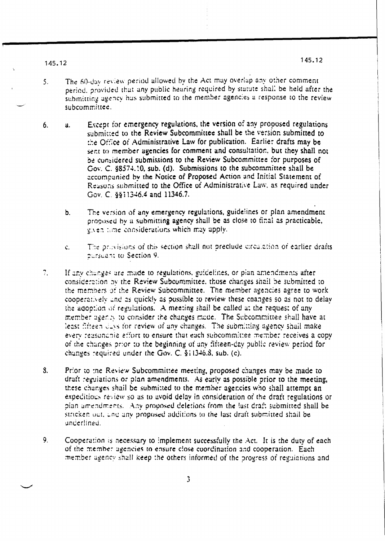1.45.12

- The 60-day review period allowed by the Act may overlap any other comment.  $5<sub>1</sub>$ period, provided that any public hearing required by statute shall be held after the submitting agency has submitted to the member agencies a response to the review subcommittee.
- Except for emergency regulations, the version of any proposed regulations 6.  $\mathbf{a}$ . submitted to the Review Subcommittee shall be the version submitted to the Office of Administrative Law for publication. Earlier drafts may be sent to member agencies for comment and consultation, but they shall not be considered submissions to the Review Subcommittee for purposes of Gov. C. §8574.10, sub. (d). Submissions to the subcommittee shall be accompanied by the Notice of Proposed Action and Initial Statement of Reasons submitted to the Office of Administrative Law, as required under Gov. C 8811346.4 and 11346.7.
	- The version of any emergency regulations, guidelines or plan amendment  $b<sub>1</sub>$ proposed by a submitting agency shall be as close to final as practicable, given time considerations which may apply.
	- The provisions of this section shall not preclude circulation of earlier drafts. ċ. pursuant to Section 9.
- $7.$ If any changes are made to regulations, guidelines, or plan amendments after consideration by the Review Subcommittee, those changes shall be submitted to the members of the Review Subcommittee. The member agencies agree to work cooperatively and as quickly as possible to review these changes so as not to delay the adoption of regulations. A meeting shall be called at the request of any member agency to consider the changes made. The Subcommittee shall have at least fifteen duys for review of any changes. The submitting-agency shall make every reasonable effort to ensure that each subcommittee member receives a copy of the changes prior to the beginning of any fifteen-day public review period for changes required under the Gov. C. §11346.8, sub. (c).
- $\mathbf{S}$ . Prior to the Review Subcommittee meeting, proposed changes may be made to draft regulations or plan amendments. As early as possible prior to the meeting, these changes shall be submitted to the member agencies who shall attempt an expeditions review so as to avoid delay in consideration of the draft regulations or pian amendments. Any proposed deletions from the last draft submitted shall be stricken out, and any proposed additions to the last draft submitted shall be underlined.
- $9<sub>1</sub>$ Cooperation is necessary to implement successfully the Act. It is the duty of each of the member agencies to ensure close coordination and cooperation. Each member agency shall keep the others informed of the progress of regulations and